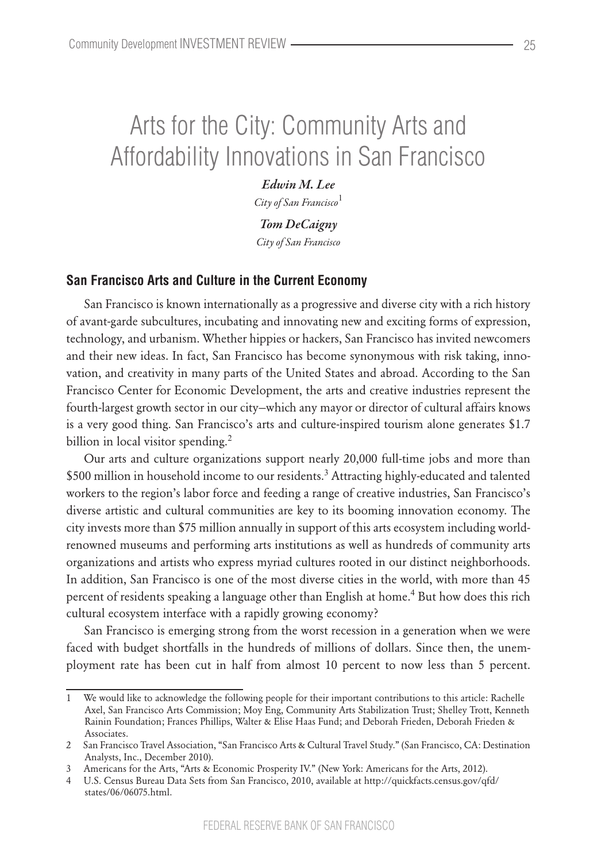# Arts for the City: Community Arts and Affordability Innovations in San Francisco

*Edwin M. Lee City of San Francisco*<sup>1</sup>

*Tom DeCaigny City of San Francisco*

## **San Francisco Arts and Culture in the Current Economy**

San Francisco is known internationally as a progressive and diverse city with a rich history of avant-garde subcultures, incubating and innovating new and exciting forms of expression, technology, and urbanism. Whether hippies or hackers, San Francisco has invited newcomers and their new ideas. In fact, San Francisco has become synonymous with risk taking, innovation, and creativity in many parts of the United States and abroad. According to the San Francisco Center for Economic Development, the arts and creative industries represent the fourth-largest growth sector in our city—which any mayor or director of cultural affairs knows is a very good thing. San Francisco's arts and culture-inspired tourism alone generates \$1.7 billion in local visitor spending.<sup>2</sup>

Our arts and culture organizations support nearly 20,000 full-time jobs and more than \$500 million in household income to our residents.<sup>3</sup> Attracting highly-educated and talented workers to the region's labor force and feeding a range of creative industries, San Francisco's diverse artistic and cultural communities are key to its booming innovation economy. The city invests more than \$75 million annually in support of this arts ecosystem including worldrenowned museums and performing arts institutions as well as hundreds of community arts organizations and artists who express myriad cultures rooted in our distinct neighborhoods. In addition, San Francisco is one of the most diverse cities in the world, with more than 45 percent of residents speaking a language other than English at home.<sup>4</sup> But how does this rich cultural ecosystem interface with a rapidly growing economy?

San Francisco is emerging strong from the worst recession in a generation when we were faced with budget shortfalls in the hundreds of millions of dollars. Since then, the unemployment rate has been cut in half from almost 10 percent to now less than 5 percent.

We would like to acknowledge the following people for their important contributions to this article: Rachelle Axel, San Francisco Arts Commission; Moy Eng, Community Arts Stabilization Trust; Shelley Trott, Kenneth Rainin Foundation; Frances Phillips, Walter & Elise Haas Fund; and Deborah Frieden, Deborah Frieden & Associates.

<sup>2</sup> San Francisco Travel Association, "San Francisco Arts & Cultural Travel Study." (San Francisco, CA: Destination Analysts, Inc., December 2010).

<sup>3</sup> Americans for the Arts, "Arts & Economic Prosperity IV." (New York: Americans for the Arts, 2012).

<sup>4</sup> U.S. Census Bureau Data Sets from San Francisco, 2010, available at http://quickfacts.census.gov/qfd/ states/06/06075.html.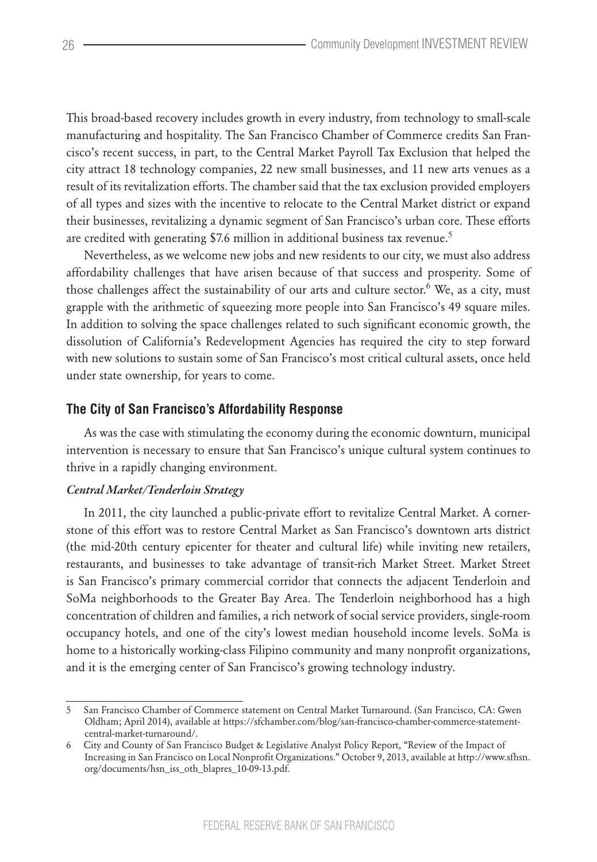This broad-based recovery includes growth in every industry, from technology to small-scale manufacturing and hospitality. The San Francisco Chamber of Commerce credits San Francisco's recent success, in part, to the Central Market Payroll Tax Exclusion that helped the city attract 18 technology companies, 22 new small businesses, and 11 new arts venues as a result of its revitalization efforts. The chamber said that the tax exclusion provided employers of all types and sizes with the incentive to relocate to the Central Market district or expand their businesses, revitalizing a dynamic segment of San Francisco's urban core. These efforts are credited with generating \$7.6 million in additional business tax revenue.<sup>5</sup>

Nevertheless, as we welcome new jobs and new residents to our city, we must also address affordability challenges that have arisen because of that success and prosperity. Some of those challenges affect the sustainability of our arts and culture sector.<sup>6</sup> We, as a city, must grapple with the arithmetic of squeezing more people into San Francisco's 49 square miles. In addition to solving the space challenges related to such significant economic growth, the dissolution of California's Redevelopment Agencies has required the city to step forward with new solutions to sustain some of San Francisco's most critical cultural assets, once held under state ownership, for years to come.

## **The City of San Francisco's Affordability Response**

As was the case with stimulating the economy during the economic downturn, municipal intervention is necessary to ensure that San Francisco's unique cultural system continues to thrive in a rapidly changing environment.

### *Central Market/Tenderloin Strategy*

In 2011, the city launched a public-private effort to revitalize Central Market. A cornerstone of this effort was to restore Central Market as San Francisco's downtown arts district (the mid-20th century epicenter for theater and cultural life) while inviting new retailers, restaurants, and businesses to take advantage of transit-rich Market Street. Market Street is San Francisco's primary commercial corridor that connects the adjacent Tenderloin and SoMa neighborhoods to the Greater Bay Area. The Tenderloin neighborhood has a high concentration of children and families, a rich network of social service providers, single-room occupancy hotels, and one of the city's lowest median household income levels. SoMa is home to a historically working-class Filipino community and many nonprofit organizations, and it is the emerging center of San Francisco's growing technology industry.

<sup>5</sup> San Francisco Chamber of Commerce statement on Central Market Turnaround. (San Francisco, CA: Gwen Oldham; April 2014), available at https://sfchamber.com/blog/san-francisco-chamber-commerce-statementcentral-market-turnaround/.

<sup>6</sup> City and County of San Francisco Budget & Legislative Analyst Policy Report, "Review of the Impact of Increasing in San Francisco on Local Nonprofit Organizations." October 9, 2013, available at http://www.sfhsn. org/documents/hsn\_iss\_oth\_blapres\_10-09-13.pdf.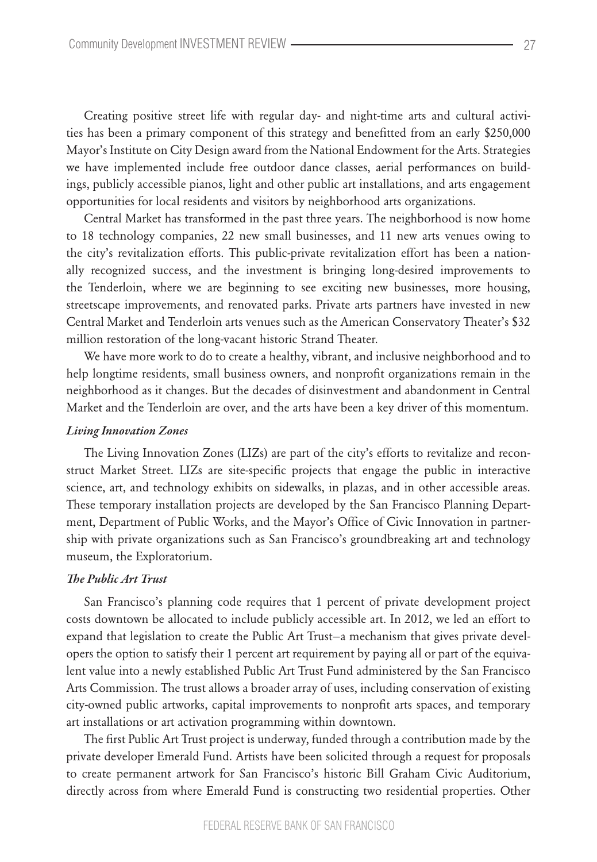Creating positive street life with regular day- and night-time arts and cultural activities has been a primary component of this strategy and benefitted from an early \$250,000 Mayor's Institute on City Design award from the National Endowment for the Arts. Strategies we have implemented include free outdoor dance classes, aerial performances on buildings, publicly accessible pianos, light and other public art installations, and arts engagement opportunities for local residents and visitors by neighborhood arts organizations.

Central Market has transformed in the past three years. The neighborhood is now home to 18 technology companies, 22 new small businesses, and 11 new arts venues owing to the city's revitalization efforts. This public-private revitalization effort has been a nationally recognized success, and the investment is bringing long-desired improvements to the Tenderloin, where we are beginning to see exciting new businesses, more housing, streetscape improvements, and renovated parks. Private arts partners have invested in new Central Market and Tenderloin arts venues such as the American Conservatory Theater's \$32 million restoration of the long-vacant historic Strand Theater.

We have more work to do to create a healthy, vibrant, and inclusive neighborhood and to help longtime residents, small business owners, and nonprofit organizations remain in the neighborhood as it changes. But the decades of disinvestment and abandonment in Central Market and the Tenderloin are over, and the arts have been a key driver of this momentum.

#### *Living Innovation Zones*

The Living Innovation Zones (LIZs) are part of the city's efforts to revitalize and reconstruct Market Street. LIZs are site-specific projects that engage the public in interactive science, art, and technology exhibits on sidewalks, in plazas, and in other accessible areas. These temporary installation projects are developed by the San Francisco Planning Department, Department of Public Works, and the Mayor's Office of Civic Innovation in partnership with private organizations such as San Francisco's groundbreaking art and technology museum, the Exploratorium.

#### *The Public Art Trust*

San Francisco's planning code requires that 1 percent of private development project costs downtown be allocated to include publicly accessible art. In 2012, we led an effort to expand that legislation to create the Public Art Trust—a mechanism that gives private developers the option to satisfy their 1 percent art requirement by paying all or part of the equivalent value into a newly established Public Art Trust Fund administered by the San Francisco Arts Commission. The trust allows a broader array of uses, including conservation of existing city-owned public artworks, capital improvements to nonprofit arts spaces, and temporary art installations or art activation programming within downtown.

The first Public Art Trust project is underway, funded through a contribution made by the private developer Emerald Fund. Artists have been solicited through a request for proposals to create permanent artwork for San Francisco's historic Bill Graham Civic Auditorium, directly across from where Emerald Fund is constructing two residential properties. Other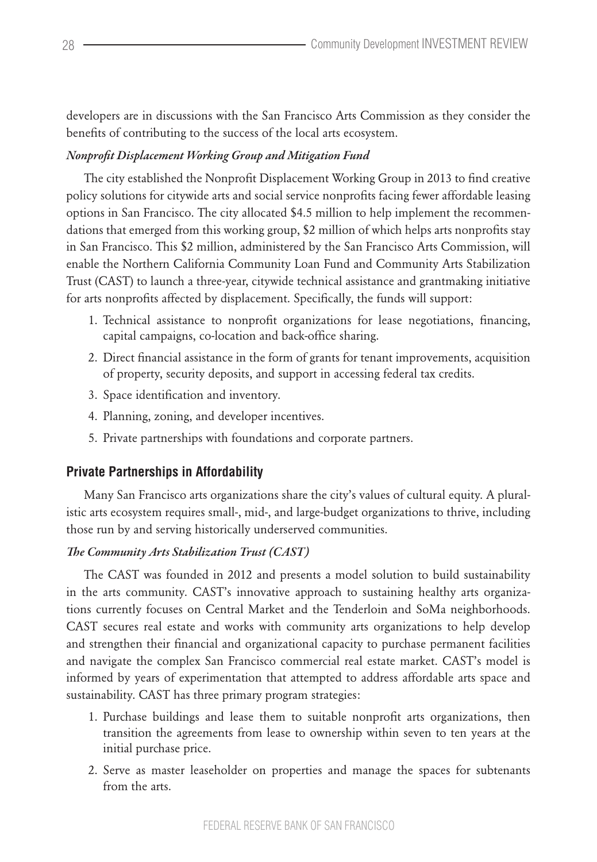developers are in discussions with the San Francisco Arts Commission as they consider the benefits of contributing to the success of the local arts ecosystem.

# *Nonprofit Displacement Working Group and Mitigation Fund*

The city established the Nonprofit Displacement Working Group in 2013 to find creative policy solutions for citywide arts and social service nonprofits facing fewer affordable leasing options in San Francisco. The city allocated \$4.5 million to help implement the recommendations that emerged from this working group, \$2 million of which helps arts nonprofits stay in San Francisco. This \$2 million, administered by the San Francisco Arts Commission, will enable the Northern California Community Loan Fund and Community Arts Stabilization Trust (CAST) to launch a three-year, citywide technical assistance and grantmaking initiative for arts nonprofits affected by displacement. Specifically, the funds will support:

- 1. Technical assistance to nonprofit organizations for lease negotiations, financing, capital campaigns, co-location and back-office sharing.
- 2. Direct financial assistance in the form of grants for tenant improvements, acquisition of property, security deposits, and support in accessing federal tax credits.
- 3. Space identification and inventory.
- 4. Planning, zoning, and developer incentives.
- 5. Private partnerships with foundations and corporate partners.

# **Private Partnerships in Affordability**

Many San Francisco arts organizations share the city's values of cultural equity. A pluralistic arts ecosystem requires small-, mid-, and large-budget organizations to thrive, including those run by and serving historically underserved communities.

# *The Community Arts Stabilization Trust (CAST)*

The CAST was founded in 2012 and presents a model solution to build sustainability in the arts community. CAST's innovative approach to sustaining healthy arts organizations currently focuses on Central Market and the Tenderloin and SoMa neighborhoods. CAST secures real estate and works with community arts organizations to help develop and strengthen their financial and organizational capacity to purchase permanent facilities and navigate the complex San Francisco commercial real estate market. CAST's model is informed by years of experimentation that attempted to address affordable arts space and sustainability. CAST has three primary program strategies:

- 1. Purchase buildings and lease them to suitable nonprofit arts organizations, then transition the agreements from lease to ownership within seven to ten years at the initial purchase price.
- 2. Serve as master leaseholder on properties and manage the spaces for subtenants from the arts.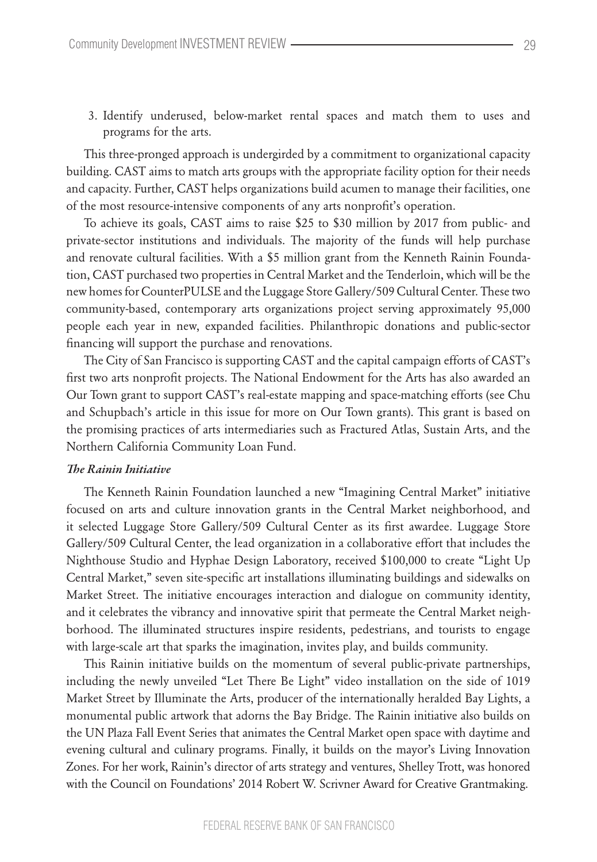3. Identify underused, below-market rental spaces and match them to uses and programs for the arts.

This three-pronged approach is undergirded by a commitment to organizational capacity building. CAST aims to match arts groups with the appropriate facility option for their needs and capacity. Further, CAST helps organizations build acumen to manage their facilities, one of the most resource-intensive components of any arts nonprofit's operation.

To achieve its goals, CAST aims to raise \$25 to \$30 million by 2017 from public- and private-sector institutions and individuals. The majority of the funds will help purchase and renovate cultural facilities. With a \$5 million grant from the Kenneth Rainin Foundation, CAST purchased two properties in Central Market and the Tenderloin, which will be the new homes for CounterPULSE and the Luggage Store Gallery/509 Cultural Center. These two community-based, contemporary arts organizations project serving approximately 95,000 people each year in new, expanded facilities. Philanthropic donations and public-sector financing will support the purchase and renovations.

The City of San Francisco is supporting CAST and the capital campaign efforts of CAST's first two arts nonprofit projects. The National Endowment for the Arts has also awarded an Our Town grant to support CAST's real-estate mapping and space-matching efforts (see Chu and Schupbach's article in this issue for more on Our Town grants). This grant is based on the promising practices of arts intermediaries such as Fractured Atlas, Sustain Arts, and the Northern California Community Loan Fund.

# *The Rainin Initiative*

The Kenneth Rainin Foundation launched a new "Imagining Central Market" initiative focused on arts and culture innovation grants in the Central Market neighborhood, and it selected Luggage Store Gallery/509 Cultural Center as its first awardee. Luggage Store Gallery/509 Cultural Center, the lead organization in a collaborative effort that includes the Nighthouse Studio and Hyphae Design Laboratory, received \$100,000 to create "Light Up Central Market," seven site-specific art installations illuminating buildings and sidewalks on Market Street. The initiative encourages interaction and dialogue on community identity, and it celebrates the vibrancy and innovative spirit that permeate the Central Market neighborhood. The illuminated structures inspire residents, pedestrians, and tourists to engage with large-scale art that sparks the imagination, invites play, and builds community.

This Rainin initiative builds on the momentum of several public-private partnerships, including the newly unveiled "Let There Be Light" video installation on the side of 1019 Market Street by Illuminate the Arts, producer of the internationally heralded Bay Lights, a monumental public artwork that adorns the Bay Bridge. The Rainin initiative also builds on the UN Plaza Fall Event Series that animates the Central Market open space with daytime and evening cultural and culinary programs. Finally, it builds on the mayor's Living Innovation Zones. For her work, Rainin's director of arts strategy and ventures, Shelley Trott, was honored with the Council on Foundations' 2014 Robert W. Scrivner Award for Creative Grantmaking.